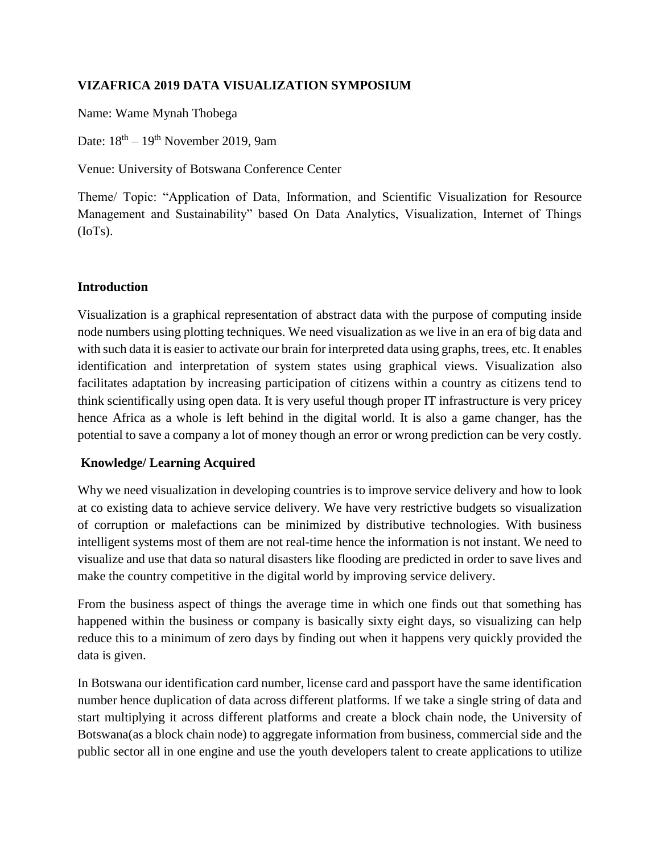## **VIZAFRICA 2019 DATA VISUALIZATION SYMPOSIUM**

Name: Wame Mynah Thobega

Date:  $18^{\text{th}} - 19^{\text{th}}$  November 2019, 9am

Venue: University of Botswana Conference Center

Theme/ Topic: "Application of Data, Information, and Scientific Visualization for Resource Management and Sustainability" based On Data Analytics, Visualization, Internet of Things (IoTs).

### **Introduction**

Visualization is a graphical representation of abstract data with the purpose of computing inside node numbers using plotting techniques. We need visualization as we live in an era of big data and with such data it is easier to activate our brain for interpreted data using graphs, trees, etc. It enables identification and interpretation of system states using graphical views. Visualization also facilitates adaptation by increasing participation of citizens within a country as citizens tend to think scientifically using open data. It is very useful though proper IT infrastructure is very pricey hence Africa as a whole is left behind in the digital world. It is also a game changer, has the potential to save a company a lot of money though an error or wrong prediction can be very costly.

### **Knowledge/ Learning Acquired**

Why we need visualization in developing countries is to improve service delivery and how to look at co existing data to achieve service delivery. We have very restrictive budgets so visualization of corruption or malefactions can be minimized by distributive technologies. With business intelligent systems most of them are not real-time hence the information is not instant. We need to visualize and use that data so natural disasters like flooding are predicted in order to save lives and make the country competitive in the digital world by improving service delivery.

From the business aspect of things the average time in which one finds out that something has happened within the business or company is basically sixty eight days, so visualizing can help reduce this to a minimum of zero days by finding out when it happens very quickly provided the data is given.

In Botswana our identification card number, license card and passport have the same identification number hence duplication of data across different platforms. If we take a single string of data and start multiplying it across different platforms and create a block chain node, the University of Botswana(as a block chain node) to aggregate information from business, commercial side and the public sector all in one engine and use the youth developers talent to create applications to utilize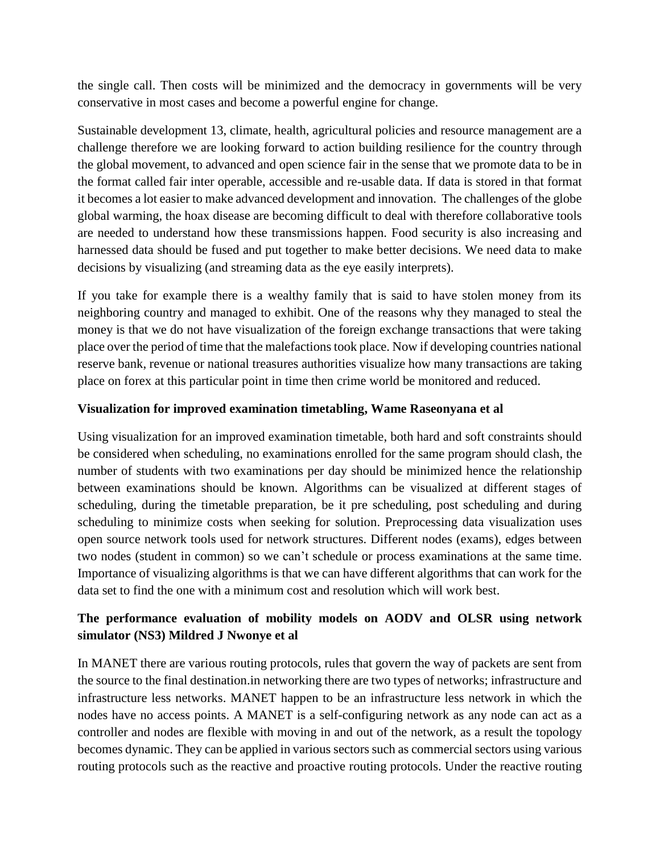the single call. Then costs will be minimized and the democracy in governments will be very conservative in most cases and become a powerful engine for change.

Sustainable development 13, climate, health, agricultural policies and resource management are a challenge therefore we are looking forward to action building resilience for the country through the global movement, to advanced and open science fair in the sense that we promote data to be in the format called fair inter operable, accessible and re-usable data. If data is stored in that format it becomes a lot easier to make advanced development and innovation. The challenges of the globe global warming, the hoax disease are becoming difficult to deal with therefore collaborative tools are needed to understand how these transmissions happen. Food security is also increasing and harnessed data should be fused and put together to make better decisions. We need data to make decisions by visualizing (and streaming data as the eye easily interprets).

If you take for example there is a wealthy family that is said to have stolen money from its neighboring country and managed to exhibit. One of the reasons why they managed to steal the money is that we do not have visualization of the foreign exchange transactions that were taking place over the period of time that the malefactions took place. Now if developing countries national reserve bank, revenue or national treasures authorities visualize how many transactions are taking place on forex at this particular point in time then crime world be monitored and reduced.

### **Visualization for improved examination timetabling, Wame Raseonyana et al**

Using visualization for an improved examination timetable, both hard and soft constraints should be considered when scheduling, no examinations enrolled for the same program should clash, the number of students with two examinations per day should be minimized hence the relationship between examinations should be known. Algorithms can be visualized at different stages of scheduling, during the timetable preparation, be it pre scheduling, post scheduling and during scheduling to minimize costs when seeking for solution. Preprocessing data visualization uses open source network tools used for network structures. Different nodes (exams), edges between two nodes (student in common) so we can't schedule or process examinations at the same time. Importance of visualizing algorithms is that we can have different algorithms that can work for the data set to find the one with a minimum cost and resolution which will work best.

# **The performance evaluation of mobility models on AODV and OLSR using network simulator (NS3) Mildred J Nwonye et al**

In MANET there are various routing protocols, rules that govern the way of packets are sent from the source to the final destination.in networking there are two types of networks; infrastructure and infrastructure less networks. MANET happen to be an infrastructure less network in which the nodes have no access points. A MANET is a self-configuring network as any node can act as a controller and nodes are flexible with moving in and out of the network, as a result the topology becomes dynamic. They can be applied in various sectors such as commercial sectors using various routing protocols such as the reactive and proactive routing protocols. Under the reactive routing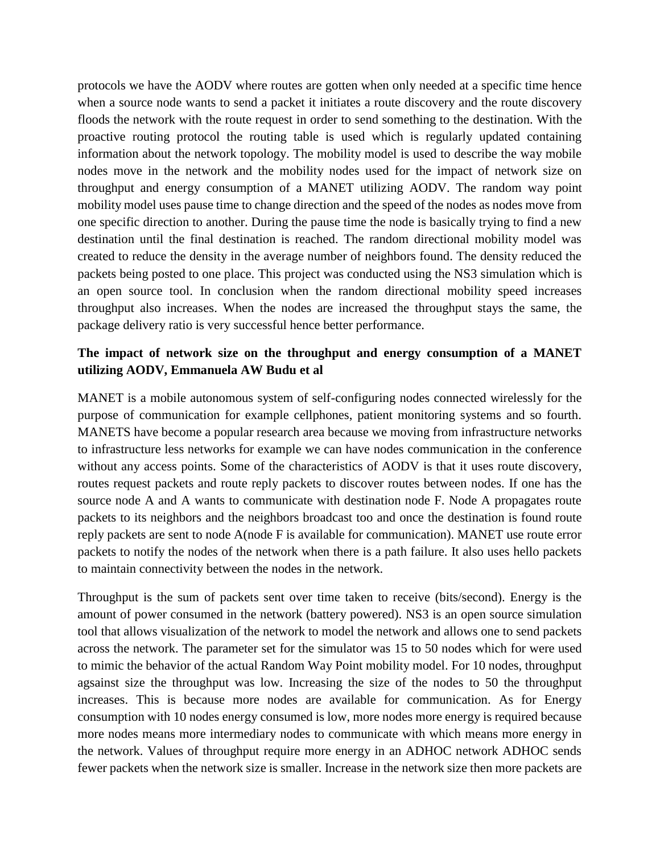protocols we have the AODV where routes are gotten when only needed at a specific time hence when a source node wants to send a packet it initiates a route discovery and the route discovery floods the network with the route request in order to send something to the destination. With the proactive routing protocol the routing table is used which is regularly updated containing information about the network topology. The mobility model is used to describe the way mobile nodes move in the network and the mobility nodes used for the impact of network size on throughput and energy consumption of a MANET utilizing AODV. The random way point mobility model uses pause time to change direction and the speed of the nodes as nodes move from one specific direction to another. During the pause time the node is basically trying to find a new destination until the final destination is reached. The random directional mobility model was created to reduce the density in the average number of neighbors found. The density reduced the packets being posted to one place. This project was conducted using the NS3 simulation which is an open source tool. In conclusion when the random directional mobility speed increases throughput also increases. When the nodes are increased the throughput stays the same, the package delivery ratio is very successful hence better performance.

## **The impact of network size on the throughput and energy consumption of a MANET utilizing AODV, Emmanuela AW Budu et al**

MANET is a mobile autonomous system of self-configuring nodes connected wirelessly for the purpose of communication for example cellphones, patient monitoring systems and so fourth. MANETS have become a popular research area because we moving from infrastructure networks to infrastructure less networks for example we can have nodes communication in the conference without any access points. Some of the characteristics of AODV is that it uses route discovery, routes request packets and route reply packets to discover routes between nodes. If one has the source node A and A wants to communicate with destination node F. Node A propagates route packets to its neighbors and the neighbors broadcast too and once the destination is found route reply packets are sent to node A(node F is available for communication). MANET use route error packets to notify the nodes of the network when there is a path failure. It also uses hello packets to maintain connectivity between the nodes in the network.

Throughput is the sum of packets sent over time taken to receive (bits/second). Energy is the amount of power consumed in the network (battery powered). NS3 is an open source simulation tool that allows visualization of the network to model the network and allows one to send packets across the network. The parameter set for the simulator was 15 to 50 nodes which for were used to mimic the behavior of the actual Random Way Point mobility model. For 10 nodes, throughput agsainst size the throughput was low. Increasing the size of the nodes to 50 the throughput increases. This is because more nodes are available for communication. As for Energy consumption with 10 nodes energy consumed is low, more nodes more energy is required because more nodes means more intermediary nodes to communicate with which means more energy in the network. Values of throughput require more energy in an ADHOC network ADHOC sends fewer packets when the network size is smaller. Increase in the network size then more packets are